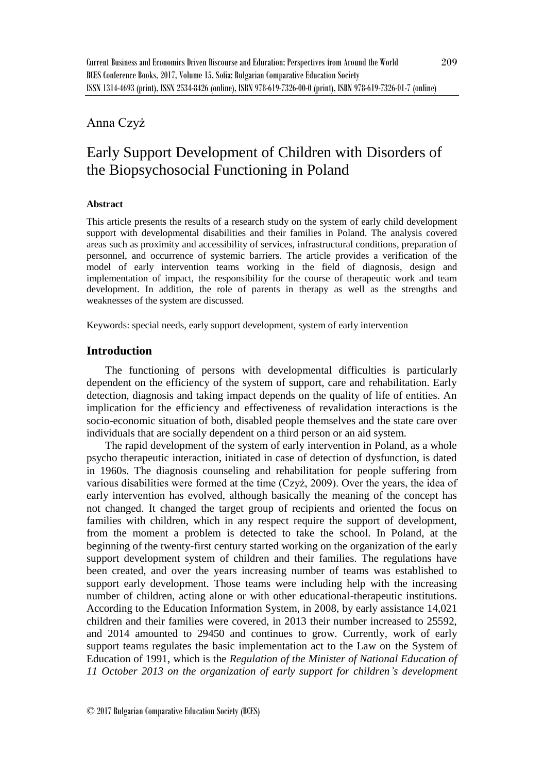# Anna Czyż

# Early Support Development of Children with Disorders of the Biopsychosocial Functioning in Poland

#### **Abstract**

This article presents the results of a research study on the system of early child development support with developmental disabilities and their families in Poland. The analysis covered areas such as proximity and accessibility of services, infrastructural conditions, preparation of personnel, and occurrence of systemic barriers. The article provides a verification of the model of early intervention teams working in the field of diagnosis, design and implementation of impact, the responsibility for the course of therapeutic work and team development. In addition, the role of parents in therapy as well as the strengths and weaknesses of the system are discussed.

Keywords: special needs, early support development, system of early intervention

## **Introduction**

The functioning of persons with developmental difficulties is particularly dependent on the efficiency of the system of support, care and rehabilitation. Early detection, diagnosis and taking impact depends on the quality of life of entities. An implication for the efficiency and effectiveness of revalidation interactions is the socio-economic situation of both, disabled people themselves and the state care over individuals that are socially dependent on a third person or an aid system.

The rapid development of the system of early intervention in Poland, as a whole psycho therapeutic interaction, initiated in case of detection of dysfunction, is dated in 1960s. The diagnosis counseling and rehabilitation for people suffering from various disabilities were formed at the time (Czyż, 2009). Over the years, the idea of early intervention has evolved, although basically the meaning of the concept has not changed. It changed the target group of recipients and oriented the focus on families with children, which in any respect require the support of development, from the moment a problem is detected to take the school. In Poland, at the beginning of the twenty-first century started working on the organization of the early support development system of children and their families. The regulations have been created, and over the years increasing number of teams was established to support early development. Those teams were including help with the increasing number of children, acting alone or with other educational-therapeutic institutions. According to the Education Information System, in 2008, by early assistance 14,021 children and their families were covered, in 2013 their number increased to 25592, and 2014 amounted to 29450 and continues to grow. Currently, work of early support teams regulates the basic implementation act to the Law on the System of Education of 1991, which is the *Regulation of the Minister of National Education of 11 October 2013 on the organization of early support for children's development*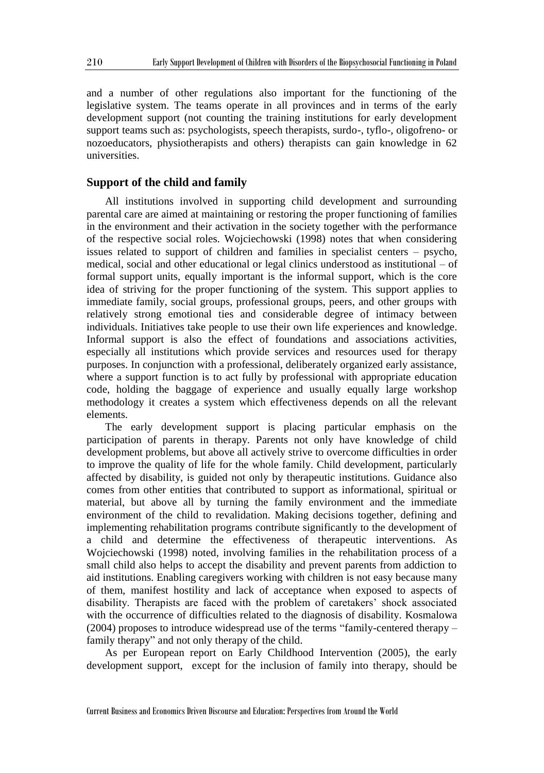and a number of other regulations also important for the functioning of the legislative system. The teams operate in all provinces and in terms of the early development support (not counting the training institutions for early development support teams such as: psychologists, speech therapists, surdo-, tyflo-, oligofreno- or nozoeducators, physiotherapists and others) therapists can gain knowledge in 62 universities.

## **Support of the child and family**

All institutions involved in supporting child development and surrounding parental care are aimed at maintaining or restoring the proper functioning of families in the environment and their activation in the society together with the performance of the respective social roles. Wojciechowski (1998) notes that when considering issues related to support of children and families in specialist centers – psycho, medical, social and other educational or legal clinics understood as institutional – of formal support units, equally important is the informal support, which is the core idea of striving for the proper functioning of the system. This support applies to immediate family, social groups, professional groups, peers, and other groups with relatively strong emotional ties and considerable degree of intimacy between individuals. Initiatives take people to use their own life experiences and knowledge. Informal support is also the effect of foundations and associations activities, especially all institutions which provide services and resources used for therapy purposes. In conjunction with a professional, deliberately organized early assistance, where a support function is to act fully by professional with appropriate education code, holding the baggage of experience and usually equally large workshop methodology it creates a system which effectiveness depends on all the relevant elements.

The early development support is placing particular emphasis on the participation of parents in therapy. Parents not only have knowledge of child development problems, but above all actively strive to overcome difficulties in order to improve the quality of life for the whole family. Child development, particularly affected by disability, is guided not only by therapeutic institutions. Guidance also comes from other entities that contributed to support as informational, spiritual or material, but above all by turning the family environment and the immediate environment of the child to revalidation. Making decisions together, defining and implementing rehabilitation programs contribute significantly to the development of a child and determine the effectiveness of therapeutic interventions. As Wojciechowski (1998) noted, involving families in the rehabilitation process of a small child also helps to accept the disability and prevent parents from addiction to aid institutions. Enabling caregivers working with children is not easy because many of them, manifest hostility and lack of acceptance when exposed to aspects of disability. Therapists are faced with the problem of caretakers' shock associated with the occurrence of difficulties related to the diagnosis of disability. Kosmalowa (2004) proposes to introduce widespread use of the terms "family-centered therapy – family therapy" and not only therapy of the child.

As per European report on Early Childhood Intervention (2005), the early development support, except for the inclusion of family into therapy, should be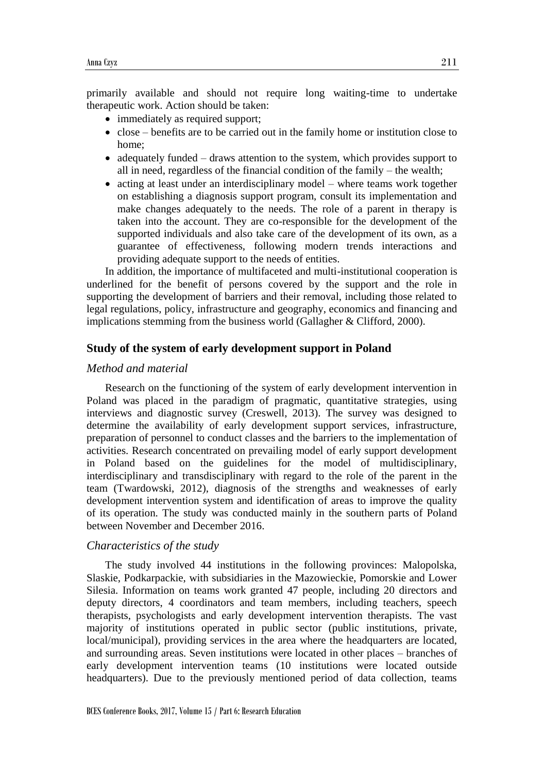primarily available and should not require long waiting-time to undertake therapeutic work. Action should be taken:

- immediately as required support;
- $\bullet$  close benefits are to be carried out in the family home or institution close to home;
- adequately funded draws attention to the system, which provides support to all in need, regardless of the financial condition of the family – the wealth;
- acting at least under an interdisciplinary model where teams work together on establishing a diagnosis support program, consult its implementation and make changes adequately to the needs. The role of a parent in therapy is taken into the account. They are co-responsible for the development of the supported individuals and also take care of the development of its own, as a guarantee of effectiveness, following modern trends interactions and providing adequate support to the needs of entities.

In addition, the importance of multifaceted and multi-institutional cooperation is underlined for the benefit of persons covered by the support and the role in supporting the development of barriers and their removal, including those related to legal regulations, policy, infrastructure and geography, economics and financing and implications stemming from the business world (Gallagher & Clifford, 2000).

## **Study of the system of early development support in Poland**

### *Method and material*

Research on the functioning of the system of early development intervention in Poland was placed in the paradigm of pragmatic, quantitative strategies, using interviews and diagnostic survey (Creswell, 2013). The survey was designed to determine the availability of early development support services, infrastructure, preparation of personnel to conduct classes and the barriers to the implementation of activities. Research concentrated on prevailing model of early support development in Poland based on the guidelines for the model of multidisciplinary, interdisciplinary and transdisciplinary with regard to the role of the parent in the team (Twardowski, 2012), diagnosis of the strengths and weaknesses of early development intervention system and identification of areas to improve the quality of its operation. The study was conducted mainly in the southern parts of Poland between November and December 2016.

## *Characteristics of the study*

The study involved 44 institutions in the following provinces: Malopolska, Slaskie, Podkarpackie, with subsidiaries in the Mazowieckie, Pomorskie and Lower Silesia. Information on teams work granted 47 people, including 20 directors and deputy directors, 4 coordinators and team members, including teachers, speech therapists, psychologists and early development intervention therapists. The vast majority of institutions operated in public sector (public institutions, private, local/municipal), providing services in the area where the headquarters are located, and surrounding areas. Seven institutions were located in other places – branches of early development intervention teams (10 institutions were located outside headquarters). Due to the previously mentioned period of data collection, teams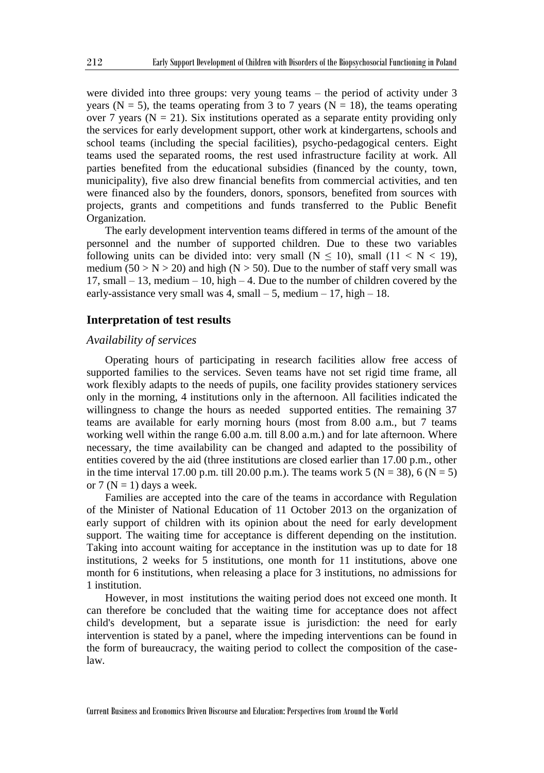were divided into three groups: very young teams – the period of activity under 3 years (N = 5), the teams operating from 3 to 7 years (N = 18), the teams operating over 7 years ( $N = 21$ ). Six institutions operated as a separate entity providing only the services for early development support, other work at kindergartens, schools and school teams (including the special facilities), psycho-pedagogical centers. Eight teams used the separated rooms, the rest used infrastructure facility at work. All parties benefited from the educational subsidies (financed by the county, town, municipality), five also drew financial benefits from commercial activities, and ten were financed also by the founders, donors, sponsors, benefited from sources with projects, grants and competitions and funds transferred to the Public Benefit Organization.

The early development intervention teams differed in terms of the amount of the personnel and the number of supported children. Due to these two variables following units can be divided into: very small ( $N \le 10$ ), small ( $11 \le N \le 19$ ), medium ( $50 > N > 20$ ) and high ( $N > 50$ ). Due to the number of staff very small was 17, small – 13, medium – 10, high – 4. Due to the number of children covered by the early-assistance very small was 4, small  $-5$ , medium  $-17$ , high  $-18$ .

#### **Interpretation of test results**

### *Availability of services*

Operating hours of participating in research facilities allow free access of supported families to the services. Seven teams have not set rigid time frame, all work flexibly adapts to the needs of pupils, one facility provides stationery services only in the morning, 4 institutions only in the afternoon. All facilities indicated the willingness to change the hours as needed supported entities. The remaining 37 teams are available for early morning hours (most from 8.00 a.m., but 7 teams working well within the range 6.00 a.m. till 8.00 a.m.) and for late afternoon. Where necessary, the time availability can be changed and adapted to the possibility of entities covered by the aid (three institutions are closed earlier than 17.00 p.m., other in the time interval 17.00 p.m. till 20.00 p.m.). The teams work 5 ( $N = 38$ ), 6 ( $N = 5$ ) or  $7 (N = 1)$  days a week.

Families are accepted into the care of the teams in accordance with Regulation of the Minister of National Education of 11 October 2013 on the organization of early support of children with its opinion about the need for early development support. The waiting time for acceptance is different depending on the institution. Taking into account waiting for acceptance in the institution was up to date for 18 institutions, 2 weeks for 5 institutions, one month for 11 institutions, above one month for 6 institutions, when releasing a place for 3 institutions, no admissions for 1 institution.

However, in most institutions the waiting period does not exceed one month. It can therefore be concluded that the waiting time for acceptance does not affect child's development, but a separate issue is jurisdiction: the need for early intervention is stated by a panel, where the impeding interventions can be found in the form of bureaucracy, the waiting period to collect the composition of the caselaw.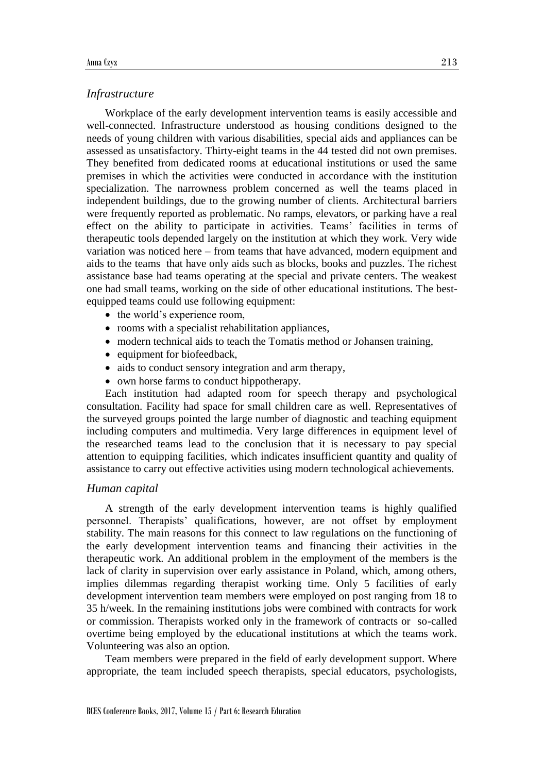## *Infrastructure*

Workplace of the early development intervention teams is easily accessible and well-connected. Infrastructure understood as housing conditions designed to the needs of young children with various disabilities, special aids and appliances can be assessed as unsatisfactory. Thirty-eight teams in the 44 tested did not own premises. They benefited from dedicated rooms at educational institutions or used the same premises in which the activities were conducted in accordance with the institution specialization. The narrowness problem concerned as well the teams placed in independent buildings, due to the growing number of clients. Architectural barriers were frequently reported as problematic. No ramps, elevators, or parking have a real effect on the ability to participate in activities. Teams' facilities in terms of therapeutic tools depended largely on the institution at which they work. Very wide variation was noticed here – from teams that have advanced, modern equipment and aids to the teams that have only aids such as blocks, books and puzzles. The richest assistance base had teams operating at the special and private centers. The weakest one had small teams, working on the side of other educational institutions. The bestequipped teams could use following equipment:

- the world's experience room,
- rooms with a specialist rehabilitation appliances,
- modern technical aids to teach the Tomatis method or Johansen training,
- equipment for biofeedback,
- aids to conduct sensory integration and arm therapy,
- own horse farms to conduct hippotherapy.

Each institution had adapted room for speech therapy and psychological consultation. Facility had space for small children care as well. Representatives of the surveyed groups pointed the large number of diagnostic and teaching equipment including computers and multimedia. Very large differences in equipment level of the researched teams lead to the conclusion that it is necessary to pay special attention to equipping facilities, which indicates insufficient quantity and quality of assistance to carry out effective activities using modern technological achievements.

#### *Human capital*

A strength of the early development intervention teams is highly qualified personnel. Therapists' qualifications, however, are not offset by employment stability. The main reasons for this connect to law regulations on the functioning of the early development intervention teams and financing their activities in the therapeutic work. An additional problem in the employment of the members is the lack of clarity in supervision over early assistance in Poland, which, among others, implies dilemmas regarding therapist working time. Only 5 facilities of early development intervention team members were employed on post ranging from 18 to 35 h/week. In the remaining institutions jobs were combined with contracts for work or commission. Therapists worked only in the framework of contracts or so-called overtime being employed by the educational institutions at which the teams work. Volunteering was also an option.

Team members were prepared in the field of early development support. Where appropriate, the team included speech therapists, special educators, psychologists,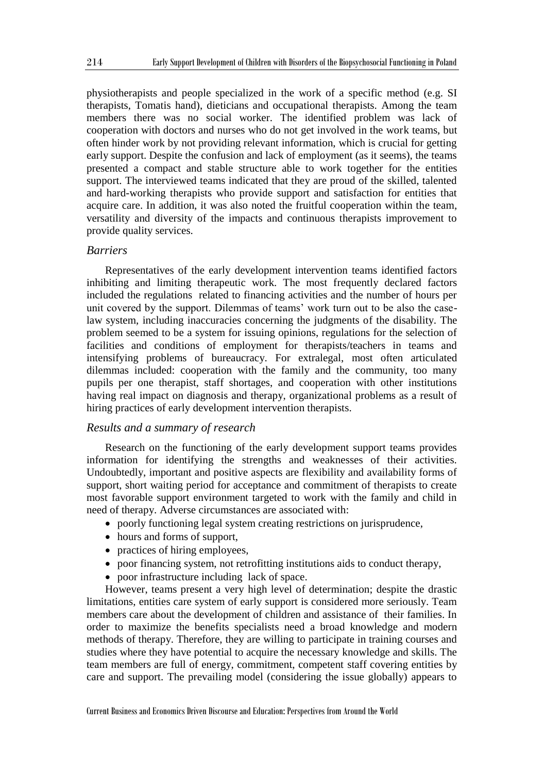physiotherapists and people specialized in the work of a specific method (e.g. SI therapists, Tomatis hand), dieticians and occupational therapists. Among the team members there was no social worker. The identified problem was lack of cooperation with doctors and nurses who do not get involved in the work teams, but often hinder work by not providing relevant information, which is crucial for getting early support. Despite the confusion and lack of employment (as it seems), the teams presented a compact and stable structure able to work together for the entities support. The interviewed teams indicated that they are proud of the skilled, talented and hard-working therapists who provide support and satisfaction for entities that acquire care. In addition, it was also noted the fruitful cooperation within the team, versatility and diversity of the impacts and continuous therapists improvement to provide quality services.

#### *Barriers*

Representatives of the early development intervention teams identified factors inhibiting and limiting therapeutic work. The most frequently declared factors included the regulations related to financing activities and the number of hours per unit covered by the support. Dilemmas of teams' work turn out to be also the caselaw system, including inaccuracies concerning the judgments of the disability. The problem seemed to be a system for issuing opinions, regulations for the selection of facilities and conditions of employment for therapists/teachers in teams and intensifying problems of bureaucracy. For extralegal, most often articulated dilemmas included: cooperation with the family and the community, too many pupils per one therapist, staff shortages, and cooperation with other institutions having real impact on diagnosis and therapy, organizational problems as a result of hiring practices of early development intervention therapists.

## *Results and a summary of research*

Research on the functioning of the early development support teams provides information for identifying the strengths and weaknesses of their activities. Undoubtedly, important and positive aspects are flexibility and availability forms of support, short waiting period for acceptance and commitment of therapists to create most favorable support environment targeted to work with the family and child in need of therapy. Adverse circumstances are associated with:

- poorly functioning legal system creating restrictions on jurisprudence,
- hours and forms of support,
- practices of hiring employees,
- poor financing system, not retrofitting institutions aids to conduct therapy,
- poor infrastructure including lack of space.

However, teams present a very high level of determination; despite the drastic limitations, entities care system of early support is considered more seriously. Team members care about the development of children and assistance of their families. In order to maximize the benefits specialists need a broad knowledge and modern methods of therapy. Therefore, they are willing to participate in training courses and studies where they have potential to acquire the necessary knowledge and skills. The team members are full of energy, commitment, competent staff covering entities by care and support. The prevailing model (considering the issue globally) appears to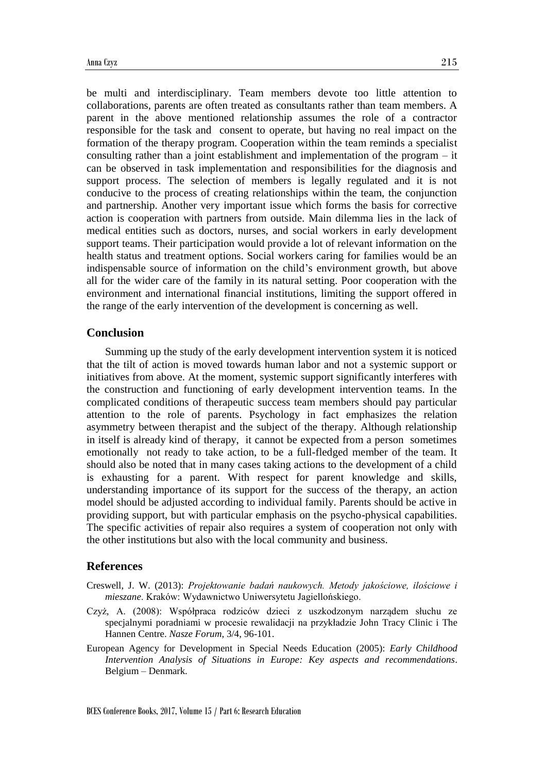be multi and interdisciplinary. Team members devote too little attention to collaborations, parents are often treated as consultants rather than team members. A parent in the above mentioned relationship assumes the role of a contractor responsible for the task and consent to operate, but having no real impact on the formation of the therapy program. Cooperation within the team reminds a specialist consulting rather than a joint establishment and implementation of the program – it can be observed in task implementation and responsibilities for the diagnosis and support process. The selection of members is legally regulated and it is not conducive to the process of creating relationships within the team, the conjunction and partnership. Another very important issue which forms the basis for corrective action is cooperation with partners from outside. Main dilemma lies in the lack of medical entities such as doctors, nurses, and social workers in early development support teams. Their participation would provide a lot of relevant information on the health status and treatment options. Social workers caring for families would be an indispensable source of information on the child's environment growth, but above all for the wider care of the family in its natural setting. Poor cooperation with the environment and international financial institutions, limiting the support offered in the range of the early intervention of the development is concerning as well.

## **Conclusion**

Summing up the study of the early development intervention system it is noticed that the tilt of action is moved towards human labor and not a systemic support or initiatives from above. At the moment, systemic support significantly interferes with the construction and functioning of early development intervention teams. In the complicated conditions of therapeutic success team members should pay particular attention to the role of parents. Psychology in fact emphasizes the relation asymmetry between therapist and the subject of the therapy. Although relationship in itself is already kind of therapy, it cannot be expected from a person sometimes emotionally not ready to take action, to be a full-fledged member of the team. It should also be noted that in many cases taking actions to the development of a child is exhausting for a parent. With respect for parent knowledge and skills, understanding importance of its support for the success of the therapy, an action model should be adjusted according to individual family. Parents should be active in providing support, but with particular emphasis on the psycho-physical capabilities. The specific activities of repair also requires a system of cooperation not only with the other institutions but also with the local community and business.

# **References**

Creswell, J. W. (2013): *Projektowanie badań naukowych. Metody jakościowe, ilościowe i mieszane*. Kraków: Wydawnictwo Uniwersytetu Jagiellońskiego.

- Czyż, A. (2008): Współpraca rodziców dzieci z uszkodzonym narządem słuchu ze specjalnymi poradniami w procesie rewalidacji na przykładzie John Tracy Clinic i The Hannen Centre. *Nasze Forum*, 3/4, 96-101.
- European Agency for Development in Special Needs Education (2005): *Early Childhood Intervention Analysis of Situations in Europe: Key aspects and recommendations*. Belgium – Denmark.

BCES Conference Books, 2017, Volume 15 / Part 6: Research Education